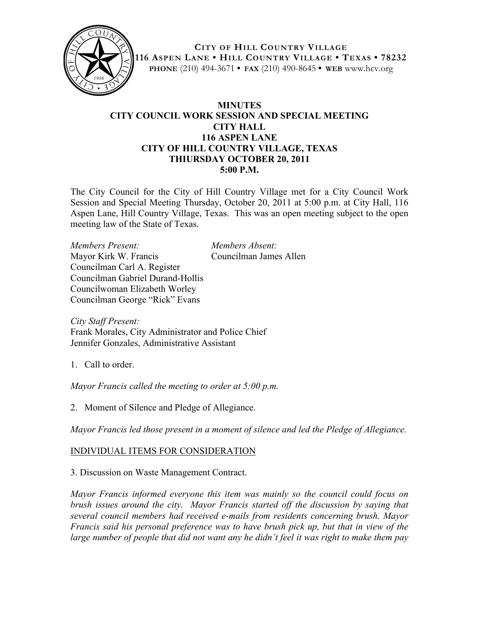

**CITY OF HILL COUNTRY VILLAGE 116 ASPEN LANE • HILL COUNTRY VILLAGE • TEXAS • 78232 PHONE** (210) 494-3671 **• FAX** (210) 490-8645 **• WEB** www.hcv.org

## **MINUTES CITY COUNCIL WORK SESSION AND SPECIAL MEETING CITY HALL 116 ASPEN LANE CITY OF HILL COUNTRY VILLAGE, TEXAS THIURSDAY OCTOBER 20, 2011 5:00 P.M.**

The City Council for the City of Hill Country Village met for a City Council Work Session and Special Meeting Thursday, October 20, 2011 at 5:00 p.m. at City Hall, 116 Aspen Lane, Hill Country Village, Texas. This was an open meeting subject to the open meeting law of the State of Texas.

*Members Present: Members Absent:* Mayor Kirk W. Francis Councilman James Allen Councilman Carl A. Register Councilman Gabriel Durand-Hollis Councilwoman Elizabeth Worley Councilman George "Rick" Evans

*City Staff Present:* Frank Morales, City Administrator and Police Chief Jennifer Gonzales, Administrative Assistant

1. Call to order.

*Mayor Francis called the meeting to order at 5:00 p.m.*

2. Moment of Silence and Pledge of Allegiance.

*Mayor Francis led those present in a moment of silence and led the Pledge of Allegiance.*

## INDIVIDUAL ITEMS FOR CONSIDERATION

3. Discussion on Waste Management Contract.

*Mayor Francis informed everyone this item was mainly so the council could focus on brush issues around the city. Mayor Francis started off the discussion by saying that several council members had received e-mails from residents concerning brush. Mayor Francis said his personal preference was to have brush pick up, but that in view of the large number of people that did not want any he didn't feel it was right to make them pay*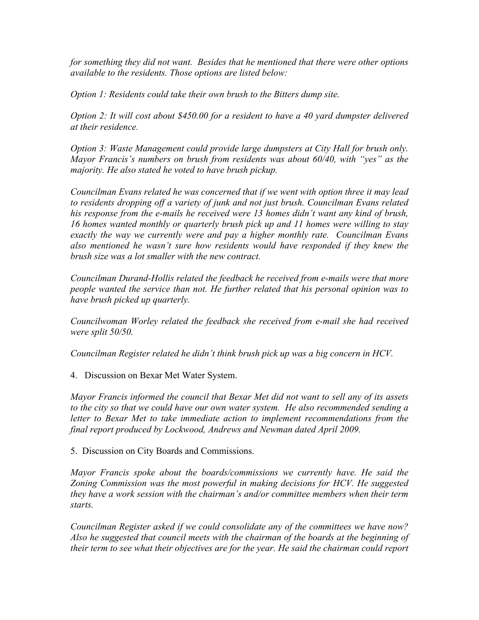*for something they did not want. Besides that he mentioned that there were other options available to the residents. Those options are listed below:* 

*Option 1: Residents could take their own brush to the Bitters dump site.*

*Option 2: It will cost about \$450.00 for a resident to have a 40 yard dumpster delivered at their residence.* 

*Option 3: Waste Management could provide large dumpsters at City Hall for brush only. Mayor Francis's numbers on brush from residents was about 60/40, with "yes" as the majority. He also stated he voted to have brush pickup.*

*Councilman Evans related he was concerned that if we went with option three it may lead to residents dropping off a variety of junk and not just brush. Councilman Evans related his response from the e-mails he received were 13 homes didn't want any kind of brush, 16 homes wanted monthly or quarterly brush pick up and 11 homes were willing to stay exactly the way we currently were and pay a higher monthly rate. Councilman Evans also mentioned he wasn't sure how residents would have responded if they knew the brush size was a lot smaller with the new contract.*

*Councilman Durand-Hollis related the feedback he received from e-mails were that more people wanted the service than not. He further related that his personal opinion was to have brush picked up quarterly.*

*Councilwoman Worley related the feedback she received from e-mail she had received were split 50/50.*

*Councilman Register related he didn't think brush pick up was a big concern in HCV.* 

4. Discussion on Bexar Met Water System.

*Mayor Francis informed the council that Bexar Met did not want to sell any of its assets to the city so that we could have our own water system. He also recommended sending a letter to Bexar Met to take immediate action to implement recommendations from the final report produced by Lockwood, Andrews and Newman dated April 2009.*

5. Discussion on City Boards and Commissions.

*Mayor Francis spoke about the boards/commissions we currently have. He said the Zoning Commission was the most powerful in making decisions for HCV. He suggested they have a work session with the chairman's and/or committee members when their term starts.* 

*Councilman Register asked if we could consolidate any of the committees we have now? Also he suggested that council meets with the chairman of the boards at the beginning of their term to see what their objectives are for the year. He said the chairman could report*